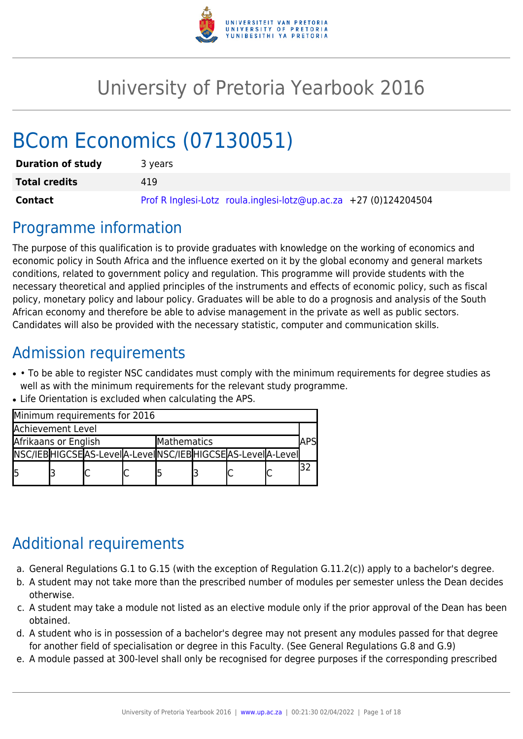

# University of Pretoria Yearbook 2016

# BCom Economics (07130051)

| <b>Duration of study</b> | 3 years                                                          |
|--------------------------|------------------------------------------------------------------|
| <b>Total credits</b>     | 419                                                              |
| <b>Contact</b>           | Prof R Inglesi-Lotz roula.inglesi-lotz@up.ac.za +27 (0)124204504 |

# Programme information

The purpose of this qualification is to provide graduates with knowledge on the working of economics and economic policy in South Africa and the influence exerted on it by the global economy and general markets conditions, related to government policy and regulation. This programme will provide students with the necessary theoretical and applied principles of the instruments and effects of economic policy, such as fiscal policy, monetary policy and labour policy. Graduates will be able to do a prognosis and analysis of the South African economy and therefore be able to advise management in the private as well as public sectors. Candidates will also be provided with the necessary statistic, computer and communication skills.

# Admission requirements

- • To be able to register NSC candidates must comply with the minimum requirements for degree studies as well as with the minimum requirements for the relevant study programme.
- Life Orientation is excluded when calculating the APS.

| Minimum requirements for 2016 |  |                                                                 |  |             |  |  |  |  |
|-------------------------------|--|-----------------------------------------------------------------|--|-------------|--|--|--|--|
| <b>Achievement Level</b>      |  |                                                                 |  |             |  |  |  |  |
| Afrikaans or English          |  |                                                                 |  | Mathematics |  |  |  |  |
|                               |  | NSC/IEB HIGCSE AS-LeveI A-LeveI NSC/IEB HIGCSE AS-LeveI A-LeveI |  |             |  |  |  |  |
| l5                            |  |                                                                 |  |             |  |  |  |  |

# Additional requirements

- a. General Regulations G.1 to G.15 (with the exception of Regulation G.11.2(c)) apply to a bachelor's degree.
- b. A student may not take more than the prescribed number of modules per semester unless the Dean decides otherwise.
- c. A student may take a module not listed as an elective module only if the prior approval of the Dean has been obtained.
- d. A student who is in possession of a bachelor's degree may not present any modules passed for that degree for another field of specialisation or degree in this Faculty. (See General Regulations G.8 and G.9)
- e. A module passed at 300-level shall only be recognised for degree purposes if the corresponding prescribed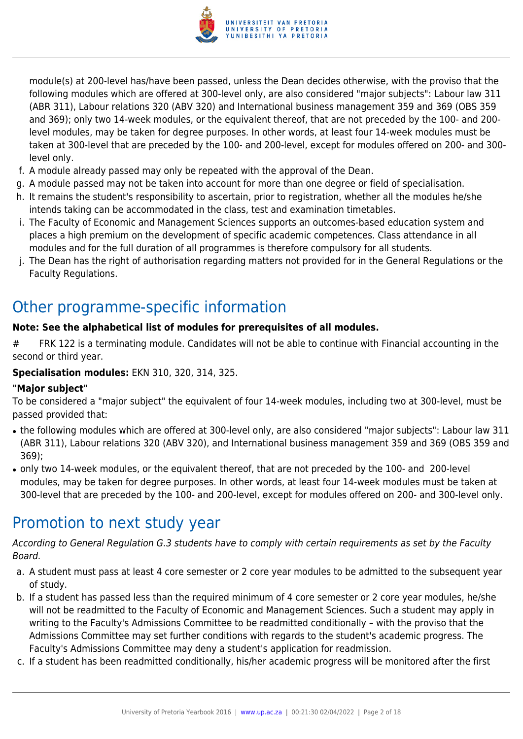

module(s) at 200-level has/have been passed, unless the Dean decides otherwise, with the proviso that the following modules which are offered at 300-level only, are also considered "major subjects": Labour law 311 (ABR 311), Labour relations 320 (ABV 320) and International business management 359 and 369 (OBS 359 and 369); only two 14-week modules, or the equivalent thereof, that are not preceded by the 100- and 200 level modules, may be taken for degree purposes. In other words, at least four 14-week modules must be taken at 300-level that are preceded by the 100- and 200-level, except for modules offered on 200- and 300 level only.

- f. A module already passed may only be repeated with the approval of the Dean.
- g. A module passed may not be taken into account for more than one degree or field of specialisation.
- h. It remains the student's responsibility to ascertain, prior to registration, whether all the modules he/she intends taking can be accommodated in the class, test and examination timetables.
- i. The Faculty of Economic and Management Sciences supports an outcomes-based education system and places a high premium on the development of specific academic competences. Class attendance in all modules and for the full duration of all programmes is therefore compulsory for all students.
- j. The Dean has the right of authorisation regarding matters not provided for in the General Regulations or the Faculty Regulations.

# Other programme-specific information

### **Note: See the alphabetical list of modules for prerequisites of all modules.**

# FRK 122 is a terminating module. Candidates will not be able to continue with Financial accounting in the second or third year.

### **Specialisation modules:** EKN 310, 320, 314, 325.

### **"Major subject"**

To be considered a "major subject" the equivalent of four 14-week modules, including two at 300-level, must be passed provided that:

- the following modules which are offered at 300-level only, are also considered "major subjects": Labour law 311 (ABR 311), Labour relations 320 (ABV 320), and International business management 359 and 369 (OBS 359 and 369);
- only two 14-week modules, or the equivalent thereof, that are not preceded by the 100- and 200-level modules, may be taken for degree purposes. In other words, at least four 14-week modules must be taken at 300-level that are preceded by the 100- and 200-level, except for modules offered on 200- and 300-level only.

# Promotion to next study year

According to General Regulation G.3 students have to comply with certain requirements as set by the Faculty Board.

- a. A student must pass at least 4 core semester or 2 core year modules to be admitted to the subsequent year of study.
- b. If a student has passed less than the required minimum of 4 core semester or 2 core year modules, he/she will not be readmitted to the Faculty of Economic and Management Sciences. Such a student may apply in writing to the Faculty's Admissions Committee to be readmitted conditionally – with the proviso that the Admissions Committee may set further conditions with regards to the student's academic progress. The Faculty's Admissions Committee may deny a student's application for readmission.
- c. If a student has been readmitted conditionally, his/her academic progress will be monitored after the first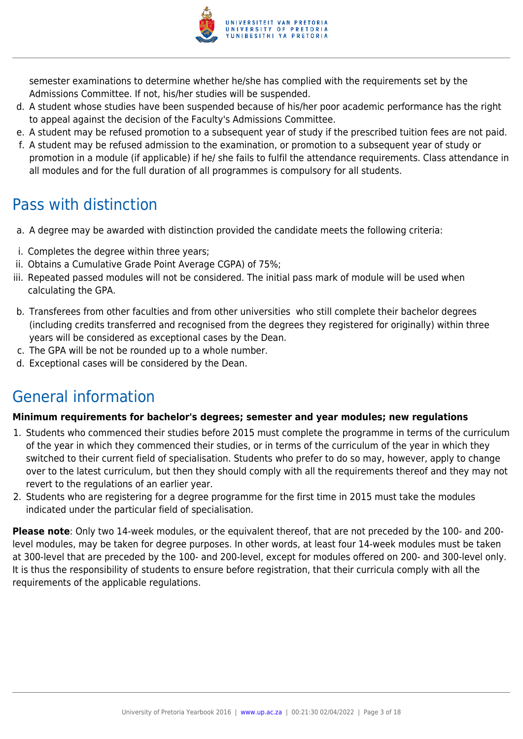

semester examinations to determine whether he/she has complied with the requirements set by the Admissions Committee. If not, his/her studies will be suspended.

- d. A student whose studies have been suspended because of his/her poor academic performance has the right to appeal against the decision of the Faculty's Admissions Committee.
- e. A student may be refused promotion to a subsequent year of study if the prescribed tuition fees are not paid.
- f. A student may be refused admission to the examination, or promotion to a subsequent year of study or promotion in a module (if applicable) if he/ she fails to fulfil the attendance requirements. Class attendance in all modules and for the full duration of all programmes is compulsory for all students.

# Pass with distinction

- a. A degree may be awarded with distinction provided the candidate meets the following criteria:
- i. Completes the degree within three years;
- ii. Obtains a Cumulative Grade Point Average CGPA) of 75%;
- iii. Repeated passed modules will not be considered. The initial pass mark of module will be used when calculating the GPA.
- b. Transferees from other faculties and from other universities who still complete their bachelor degrees (including credits transferred and recognised from the degrees they registered for originally) within three years will be considered as exceptional cases by the Dean.
- c. The GPA will be not be rounded up to a whole number.
- d. Exceptional cases will be considered by the Dean.

# General information

## **Minimum requirements for bachelor's degrees; semester and year modules; new regulations**

- 1. Students who commenced their studies before 2015 must complete the programme in terms of the curriculum of the year in which they commenced their studies, or in terms of the curriculum of the year in which they switched to their current field of specialisation. Students who prefer to do so may, however, apply to change over to the latest curriculum, but then they should comply with all the requirements thereof and they may not revert to the regulations of an earlier year.
- 2. Students who are registering for a degree programme for the first time in 2015 must take the modules indicated under the particular field of specialisation.

**Please note**: Only two 14-week modules, or the equivalent thereof, that are not preceded by the 100- and 200 level modules, may be taken for degree purposes. In other words, at least four 14-week modules must be taken at 300-level that are preceded by the 100- and 200-level, except for modules offered on 200- and 300-level only. It is thus the responsibility of students to ensure before registration, that their curricula comply with all the requirements of the applicable regulations.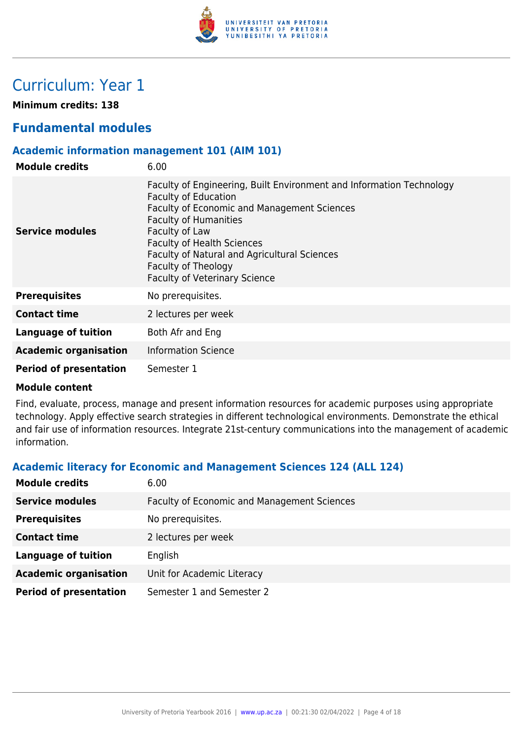

# Curriculum: Year 1

**Minimum credits: 138**

# **Fundamental modules**

### **Academic information management 101 (AIM 101)**

| <b>Module credits</b>         | 6.00                                                                                                                                                                                                                                                                                                                                                     |
|-------------------------------|----------------------------------------------------------------------------------------------------------------------------------------------------------------------------------------------------------------------------------------------------------------------------------------------------------------------------------------------------------|
| Service modules               | Faculty of Engineering, Built Environment and Information Technology<br><b>Faculty of Education</b><br>Faculty of Economic and Management Sciences<br><b>Faculty of Humanities</b><br>Faculty of Law<br><b>Faculty of Health Sciences</b><br>Faculty of Natural and Agricultural Sciences<br>Faculty of Theology<br><b>Faculty of Veterinary Science</b> |
| <b>Prerequisites</b>          | No prerequisites.                                                                                                                                                                                                                                                                                                                                        |
| <b>Contact time</b>           | 2 lectures per week                                                                                                                                                                                                                                                                                                                                      |
| Language of tuition           | Both Afr and Eng                                                                                                                                                                                                                                                                                                                                         |
| <b>Academic organisation</b>  | <b>Information Science</b>                                                                                                                                                                                                                                                                                                                               |
| <b>Period of presentation</b> | Semester 1                                                                                                                                                                                                                                                                                                                                               |

### **Module content**

Find, evaluate, process, manage and present information resources for academic purposes using appropriate technology. Apply effective search strategies in different technological environments. Demonstrate the ethical and fair use of information resources. Integrate 21st-century communications into the management of academic information.

# **Academic literacy for Economic and Management Sciences 124 (ALL 124)**

| <b>Module credits</b>         | 6.00                                               |
|-------------------------------|----------------------------------------------------|
| <b>Service modules</b>        | <b>Faculty of Economic and Management Sciences</b> |
| <b>Prerequisites</b>          | No prerequisites.                                  |
| <b>Contact time</b>           | 2 lectures per week                                |
| <b>Language of tuition</b>    | English                                            |
| <b>Academic organisation</b>  | Unit for Academic Literacy                         |
| <b>Period of presentation</b> | Semester 1 and Semester 2                          |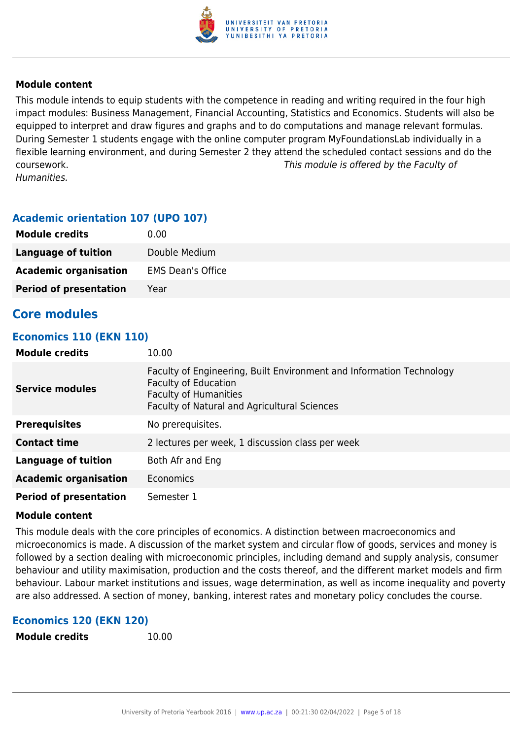

This module intends to equip students with the competence in reading and writing required in the four high impact modules: Business Management, Financial Accounting, Statistics and Economics. Students will also be equipped to interpret and draw figures and graphs and to do computations and manage relevant formulas. During Semester 1 students engage with the online computer program MyFoundationsLab individually in a flexible learning environment, and during Semester 2 they attend the scheduled contact sessions and do the coursework. This module is offered by the Faculty of Humanities.

### **Academic orientation 107 (UPO 107)**

| <b>Module credits</b>         | 0.00                     |
|-------------------------------|--------------------------|
| Language of tuition           | Double Medium            |
| <b>Academic organisation</b>  | <b>EMS Dean's Office</b> |
| <b>Period of presentation</b> | Year                     |

# **Core modules**

### **Economics 110 (EKN 110)**

| <b>Module credits</b>         | 10.00                                                                                                                                                                                      |
|-------------------------------|--------------------------------------------------------------------------------------------------------------------------------------------------------------------------------------------|
| <b>Service modules</b>        | Faculty of Engineering, Built Environment and Information Technology<br><b>Faculty of Education</b><br><b>Faculty of Humanities</b><br><b>Faculty of Natural and Agricultural Sciences</b> |
| <b>Prerequisites</b>          | No prerequisites.                                                                                                                                                                          |
| <b>Contact time</b>           | 2 lectures per week, 1 discussion class per week                                                                                                                                           |
| Language of tuition           | Both Afr and Eng                                                                                                                                                                           |
| <b>Academic organisation</b>  | Economics                                                                                                                                                                                  |
| <b>Period of presentation</b> | Semester 1                                                                                                                                                                                 |

### **Module content**

This module deals with the core principles of economics. A distinction between macroeconomics and microeconomics is made. A discussion of the market system and circular flow of goods, services and money is followed by a section dealing with microeconomic principles, including demand and supply analysis, consumer behaviour and utility maximisation, production and the costs thereof, and the different market models and firm behaviour. Labour market institutions and issues, wage determination, as well as income inequality and poverty are also addressed. A section of money, banking, interest rates and monetary policy concludes the course.

### **Economics 120 (EKN 120)**

```
Module credits 10.00
```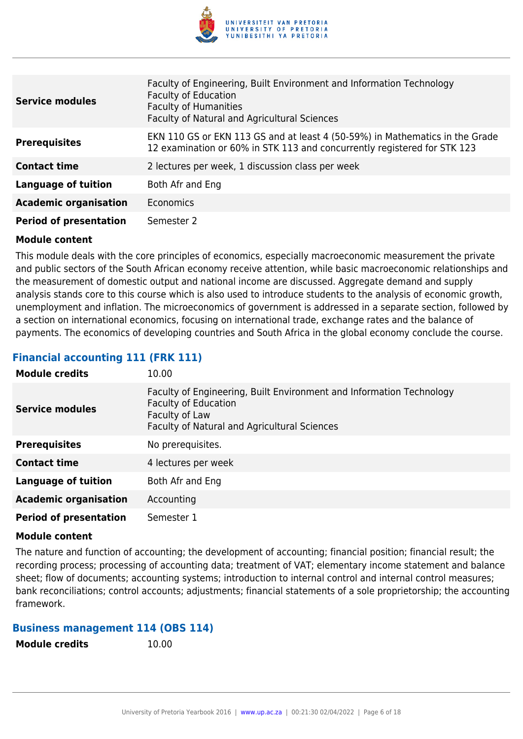

| <b>Service modules</b>        | Faculty of Engineering, Built Environment and Information Technology<br><b>Faculty of Education</b><br><b>Faculty of Humanities</b><br>Faculty of Natural and Agricultural Sciences |
|-------------------------------|-------------------------------------------------------------------------------------------------------------------------------------------------------------------------------------|
| <b>Prerequisites</b>          | EKN 110 GS or EKN 113 GS and at least 4 (50-59%) in Mathematics in the Grade<br>12 examination or 60% in STK 113 and concurrently registered for STK 123                            |
| <b>Contact time</b>           | 2 lectures per week, 1 discussion class per week                                                                                                                                    |
| <b>Language of tuition</b>    | Both Afr and Eng                                                                                                                                                                    |
| <b>Academic organisation</b>  | <b>Economics</b>                                                                                                                                                                    |
| <b>Period of presentation</b> | Semester 2                                                                                                                                                                          |

This module deals with the core principles of economics, especially macroeconomic measurement the private and public sectors of the South African economy receive attention, while basic macroeconomic relationships and the measurement of domestic output and national income are discussed. Aggregate demand and supply analysis stands core to this course which is also used to introduce students to the analysis of economic growth, unemployment and inflation. The microeconomics of government is addressed in a separate section, followed by a section on international economics, focusing on international trade, exchange rates and the balance of payments. The economics of developing countries and South Africa in the global economy conclude the course.

# **Financial accounting 111 (FRK 111)**

| <b>Module credits</b>         | 10.00                                                                                                                                                                 |
|-------------------------------|-----------------------------------------------------------------------------------------------------------------------------------------------------------------------|
| <b>Service modules</b>        | Faculty of Engineering, Built Environment and Information Technology<br><b>Faculty of Education</b><br>Faculty of Law<br>Faculty of Natural and Agricultural Sciences |
| <b>Prerequisites</b>          | No prerequisites.                                                                                                                                                     |
| <b>Contact time</b>           | 4 lectures per week                                                                                                                                                   |
| <b>Language of tuition</b>    | Both Afr and Eng                                                                                                                                                      |
| <b>Academic organisation</b>  | Accounting                                                                                                                                                            |
| <b>Period of presentation</b> | Semester 1                                                                                                                                                            |

### **Module content**

The nature and function of accounting; the development of accounting; financial position; financial result; the recording process; processing of accounting data; treatment of VAT; elementary income statement and balance sheet; flow of documents; accounting systems; introduction to internal control and internal control measures; bank reconciliations; control accounts; adjustments; financial statements of a sole proprietorship; the accounting framework.

### **Business management 114 (OBS 114)**

**Module credits** 10.00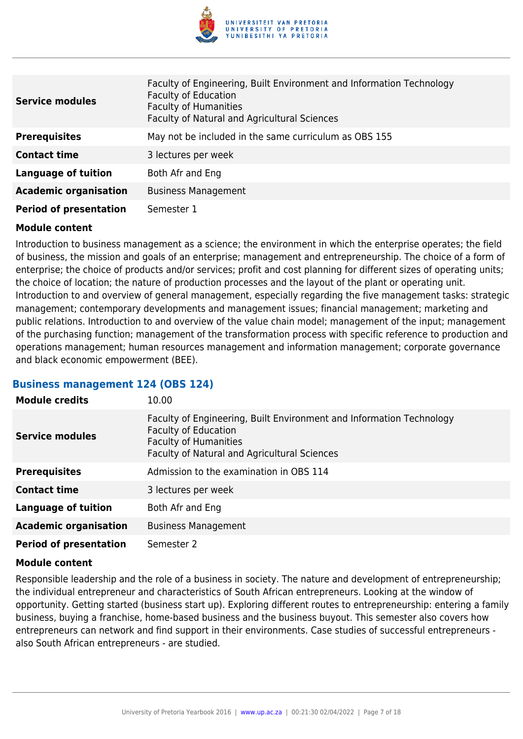

| <b>Service modules</b>        | Faculty of Engineering, Built Environment and Information Technology<br><b>Faculty of Education</b><br><b>Faculty of Humanities</b><br>Faculty of Natural and Agricultural Sciences |
|-------------------------------|-------------------------------------------------------------------------------------------------------------------------------------------------------------------------------------|
| <b>Prerequisites</b>          | May not be included in the same curriculum as OBS 155                                                                                                                               |
| <b>Contact time</b>           | 3 lectures per week                                                                                                                                                                 |
| <b>Language of tuition</b>    | Both Afr and Eng                                                                                                                                                                    |
| <b>Academic organisation</b>  | <b>Business Management</b>                                                                                                                                                          |
| <b>Period of presentation</b> | Semester 1                                                                                                                                                                          |

Introduction to business management as a science; the environment in which the enterprise operates; the field of business, the mission and goals of an enterprise; management and entrepreneurship. The choice of a form of enterprise; the choice of products and/or services; profit and cost planning for different sizes of operating units; the choice of location; the nature of production processes and the layout of the plant or operating unit. Introduction to and overview of general management, especially regarding the five management tasks: strategic management; contemporary developments and management issues; financial management; marketing and public relations. Introduction to and overview of the value chain model; management of the input; management of the purchasing function; management of the transformation process with specific reference to production and operations management; human resources management and information management; corporate governance and black economic empowerment (BEE).

### **Business management 124 (OBS 124)**

| <b>Module credits</b>         | 10.00                                                                                                                                                                               |
|-------------------------------|-------------------------------------------------------------------------------------------------------------------------------------------------------------------------------------|
| <b>Service modules</b>        | Faculty of Engineering, Built Environment and Information Technology<br><b>Faculty of Education</b><br><b>Faculty of Humanities</b><br>Faculty of Natural and Agricultural Sciences |
| <b>Prerequisites</b>          | Admission to the examination in OBS 114                                                                                                                                             |
| <b>Contact time</b>           | 3 lectures per week                                                                                                                                                                 |
| <b>Language of tuition</b>    | Both Afr and Eng                                                                                                                                                                    |
| <b>Academic organisation</b>  | <b>Business Management</b>                                                                                                                                                          |
| <b>Period of presentation</b> | Semester 2                                                                                                                                                                          |

### **Module content**

Responsible leadership and the role of a business in society. The nature and development of entrepreneurship; the individual entrepreneur and characteristics of South African entrepreneurs. Looking at the window of opportunity. Getting started (business start up). Exploring different routes to entrepreneurship: entering a family business, buying a franchise, home-based business and the business buyout. This semester also covers how entrepreneurs can network and find support in their environments. Case studies of successful entrepreneurs also South African entrepreneurs - are studied.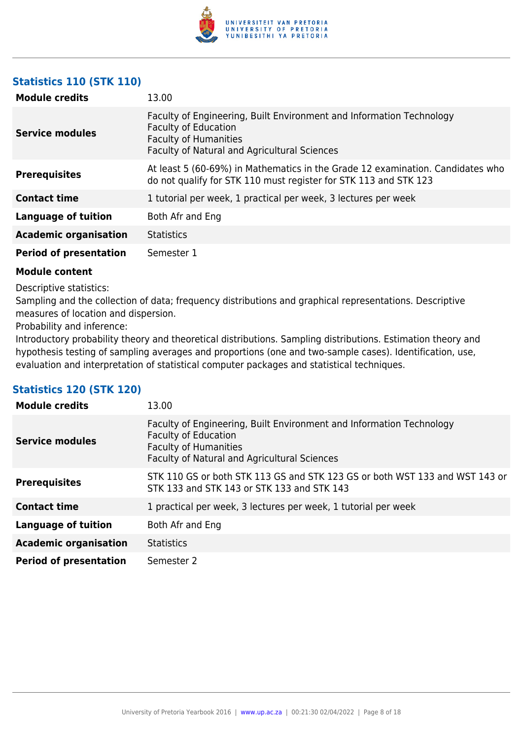

# **Statistics 110 (STK 110)**

| <b>Module credits</b>         | 13.00                                                                                                                                                                               |
|-------------------------------|-------------------------------------------------------------------------------------------------------------------------------------------------------------------------------------|
| <b>Service modules</b>        | Faculty of Engineering, Built Environment and Information Technology<br><b>Faculty of Education</b><br><b>Faculty of Humanities</b><br>Faculty of Natural and Agricultural Sciences |
| <b>Prerequisites</b>          | At least 5 (60-69%) in Mathematics in the Grade 12 examination. Candidates who<br>do not qualify for STK 110 must register for STK 113 and STK 123                                  |
| <b>Contact time</b>           | 1 tutorial per week, 1 practical per week, 3 lectures per week                                                                                                                      |
| <b>Language of tuition</b>    | Both Afr and Eng                                                                                                                                                                    |
| <b>Academic organisation</b>  | <b>Statistics</b>                                                                                                                                                                   |
| <b>Period of presentation</b> | Semester 1                                                                                                                                                                          |

### **Module content**

Descriptive statistics:

Sampling and the collection of data; frequency distributions and graphical representations. Descriptive measures of location and dispersion.

Probability and inference:

Introductory probability theory and theoretical distributions. Sampling distributions. Estimation theory and hypothesis testing of sampling averages and proportions (one and two-sample cases). Identification, use, evaluation and interpretation of statistical computer packages and statistical techniques.

## **Statistics 120 (STK 120)**

| <b>Module credits</b>         | 13.00                                                                                                                                                                               |
|-------------------------------|-------------------------------------------------------------------------------------------------------------------------------------------------------------------------------------|
| <b>Service modules</b>        | Faculty of Engineering, Built Environment and Information Technology<br><b>Faculty of Education</b><br><b>Faculty of Humanities</b><br>Faculty of Natural and Agricultural Sciences |
| <b>Prerequisites</b>          | STK 110 GS or both STK 113 GS and STK 123 GS or both WST 133 and WST 143 or<br>STK 133 and STK 143 or STK 133 and STK 143                                                           |
| <b>Contact time</b>           | 1 practical per week, 3 lectures per week, 1 tutorial per week                                                                                                                      |
| <b>Language of tuition</b>    | Both Afr and Eng                                                                                                                                                                    |
| <b>Academic organisation</b>  | <b>Statistics</b>                                                                                                                                                                   |
| <b>Period of presentation</b> | Semester 2                                                                                                                                                                          |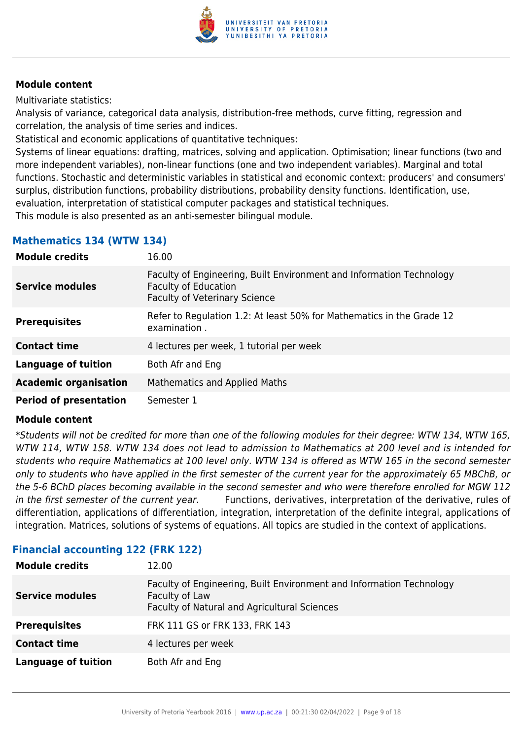

Multivariate statistics:

Analysis of variance, categorical data analysis, distribution-free methods, curve fitting, regression and correlation, the analysis of time series and indices.

Statistical and economic applications of quantitative techniques:

Systems of linear equations: drafting, matrices, solving and application. Optimisation; linear functions (two and more independent variables), non-linear functions (one and two independent variables). Marginal and total functions. Stochastic and deterministic variables in statistical and economic context: producers' and consumers' surplus, distribution functions, probability distributions, probability density functions. Identification, use, evaluation, interpretation of statistical computer packages and statistical techniques.

This module is also presented as an anti-semester bilingual module.

## **Mathematics 134 (WTW 134)**

| <b>Module credits</b>         | 16.00                                                                                                                                       |
|-------------------------------|---------------------------------------------------------------------------------------------------------------------------------------------|
| <b>Service modules</b>        | Faculty of Engineering, Built Environment and Information Technology<br><b>Faculty of Education</b><br><b>Faculty of Veterinary Science</b> |
| <b>Prerequisites</b>          | Refer to Regulation 1.2: At least 50% for Mathematics in the Grade 12<br>examination.                                                       |
| <b>Contact time</b>           | 4 lectures per week, 1 tutorial per week                                                                                                    |
| <b>Language of tuition</b>    | Both Afr and Eng                                                                                                                            |
| <b>Academic organisation</b>  | Mathematics and Applied Maths                                                                                                               |
| <b>Period of presentation</b> | Semester 1                                                                                                                                  |

### **Module content**

\*Students will not be credited for more than one of the following modules for their degree: WTW 134, WTW 165, WTW 114, WTW 158. WTW 134 does not lead to admission to Mathematics at 200 level and is intended for students who require Mathematics at 100 level only. WTW 134 is offered as WTW 165 in the second semester only to students who have applied in the first semester of the current year for the approximately 65 MBChB, or the 5-6 BChD places becoming available in the second semester and who were therefore enrolled for MGW 112 in the first semester of the current year. Functions, derivatives, interpretation of the derivative, rules of differentiation, applications of differentiation, integration, interpretation of the definite integral, applications of integration. Matrices, solutions of systems of equations. All topics are studied in the context of applications.

| <b>Module credits</b>      | 12.00                                                                                                                                  |
|----------------------------|----------------------------------------------------------------------------------------------------------------------------------------|
| <b>Service modules</b>     | Faculty of Engineering, Built Environment and Information Technology<br>Faculty of Law<br>Faculty of Natural and Agricultural Sciences |
| <b>Prerequisites</b>       | FRK 111 GS or FRK 133, FRK 143                                                                                                         |
| <b>Contact time</b>        | 4 lectures per week                                                                                                                    |
| <b>Language of tuition</b> | Both Afr and Eng                                                                                                                       |

# **Financial accounting 122 (FRK 122)**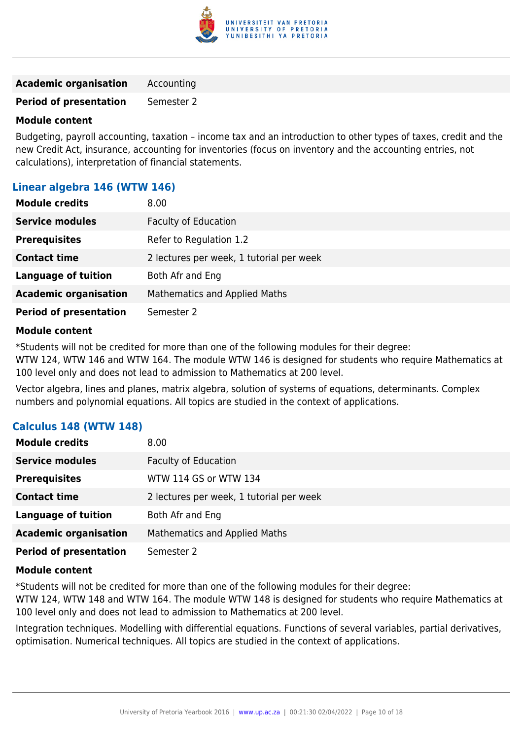

**Academic organisation** Accounting

**Period of presentation** Semester 2

### **Module content**

Budgeting, payroll accounting, taxation – income tax and an introduction to other types of taxes, credit and the new Credit Act, insurance, accounting for inventories (focus on inventory and the accounting entries, not calculations), interpretation of financial statements.

### **Linear algebra 146 (WTW 146)**

| <b>Module credits</b>         | 8.00                                     |
|-------------------------------|------------------------------------------|
| <b>Service modules</b>        | <b>Faculty of Education</b>              |
| <b>Prerequisites</b>          | Refer to Regulation 1.2                  |
| <b>Contact time</b>           | 2 lectures per week, 1 tutorial per week |
| <b>Language of tuition</b>    | Both Afr and Eng                         |
| <b>Academic organisation</b>  | <b>Mathematics and Applied Maths</b>     |
| <b>Period of presentation</b> | Semester 2                               |

### **Module content**

\*Students will not be credited for more than one of the following modules for their degree:

WTW 124, WTW 146 and WTW 164. The module WTW 146 is designed for students who require Mathematics at 100 level only and does not lead to admission to Mathematics at 200 level.

Vector algebra, lines and planes, matrix algebra, solution of systems of equations, determinants. Complex numbers and polynomial equations. All topics are studied in the context of applications.

| <b>Calculus 148 (WTW 148)</b> |  |
|-------------------------------|--|
|-------------------------------|--|

| <b>Module credits</b>         | 8.00                                     |
|-------------------------------|------------------------------------------|
| <b>Service modules</b>        | <b>Faculty of Education</b>              |
| <b>Prerequisites</b>          | WTW 114 GS or WTW 134                    |
| <b>Contact time</b>           | 2 lectures per week, 1 tutorial per week |
| <b>Language of tuition</b>    | Both Afr and Eng                         |
| <b>Academic organisation</b>  | <b>Mathematics and Applied Maths</b>     |
| <b>Period of presentation</b> | Semester 2                               |

### **Module content**

\*Students will not be credited for more than one of the following modules for their degree:

WTW 124, WTW 148 and WTW 164. The module WTW 148 is designed for students who require Mathematics at 100 level only and does not lead to admission to Mathematics at 200 level.

Integration techniques. Modelling with differential equations. Functions of several variables, partial derivatives, optimisation. Numerical techniques. All topics are studied in the context of applications.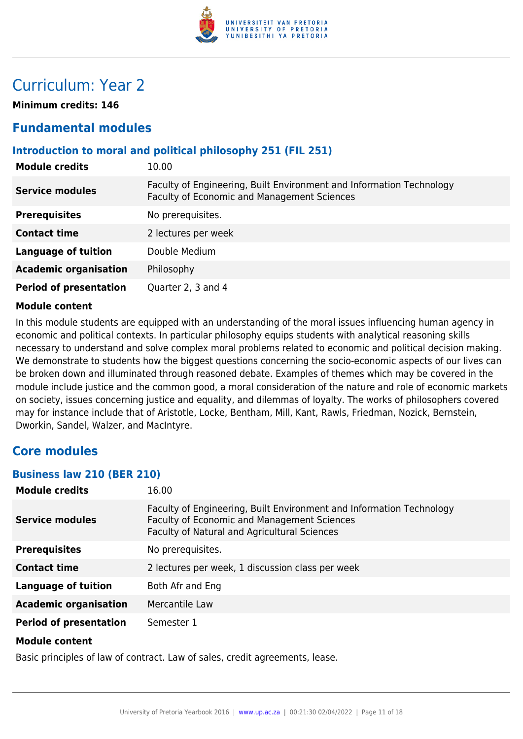

# Curriculum: Year 2

**Minimum credits: 146**

# **Fundamental modules**

## **Introduction to moral and political philosophy 251 (FIL 251)**

| <b>Module credits</b>         | 10.00                                                                                                               |
|-------------------------------|---------------------------------------------------------------------------------------------------------------------|
| <b>Service modules</b>        | Faculty of Engineering, Built Environment and Information Technology<br>Faculty of Economic and Management Sciences |
| <b>Prerequisites</b>          | No prerequisites.                                                                                                   |
| <b>Contact time</b>           | 2 lectures per week                                                                                                 |
| <b>Language of tuition</b>    | Double Medium                                                                                                       |
| <b>Academic organisation</b>  | Philosophy                                                                                                          |
| <b>Period of presentation</b> | Quarter 2, 3 and 4                                                                                                  |

### **Module content**

In this module students are equipped with an understanding of the moral issues influencing human agency in economic and political contexts. In particular philosophy equips students with analytical reasoning skills necessary to understand and solve complex moral problems related to economic and political decision making. We demonstrate to students how the biggest questions concerning the socio-economic aspects of our lives can be broken down and illuminated through reasoned debate. Examples of themes which may be covered in the module include justice and the common good, a moral consideration of the nature and role of economic markets on society, issues concerning justice and equality, and dilemmas of loyalty. The works of philosophers covered may for instance include that of Aristotle, Locke, Bentham, Mill, Kant, Rawls, Friedman, Nozick, Bernstein, Dworkin, Sandel, Walzer, and MacIntyre.

# **Core modules**

### **Business law 210 (BER 210)**

| <b>Module credits</b>         | 16.00                                                                                                                                                               |
|-------------------------------|---------------------------------------------------------------------------------------------------------------------------------------------------------------------|
| <b>Service modules</b>        | Faculty of Engineering, Built Environment and Information Technology<br>Faculty of Economic and Management Sciences<br>Faculty of Natural and Agricultural Sciences |
| <b>Prerequisites</b>          | No prerequisites.                                                                                                                                                   |
| <b>Contact time</b>           | 2 lectures per week, 1 discussion class per week                                                                                                                    |
| <b>Language of tuition</b>    | Both Afr and Eng                                                                                                                                                    |
| <b>Academic organisation</b>  | Mercantile Law                                                                                                                                                      |
| <b>Period of presentation</b> | Semester 1                                                                                                                                                          |
| <b>Module content</b>         |                                                                                                                                                                     |

Basic principles of law of contract. Law of sales, credit agreements, lease.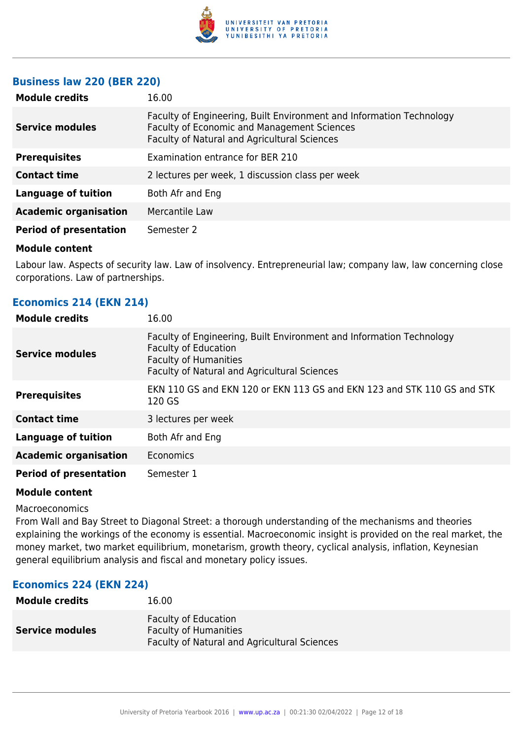

### **Business law 220 (BER 220)**

| <b>Module credits</b>         | 16.00                                                                                                                                                                      |
|-------------------------------|----------------------------------------------------------------------------------------------------------------------------------------------------------------------------|
| <b>Service modules</b>        | Faculty of Engineering, Built Environment and Information Technology<br>Faculty of Economic and Management Sciences<br><b>Faculty of Natural and Agricultural Sciences</b> |
| <b>Prerequisites</b>          | Examination entrance for BER 210                                                                                                                                           |
| <b>Contact time</b>           | 2 lectures per week, 1 discussion class per week                                                                                                                           |
| <b>Language of tuition</b>    | Both Afr and Eng                                                                                                                                                           |
| <b>Academic organisation</b>  | Mercantile Law                                                                                                                                                             |
| <b>Period of presentation</b> | Semester 2                                                                                                                                                                 |
|                               |                                                                                                                                                                            |

### **Module content**

Labour law. Aspects of security law. Law of insolvency. Entrepreneurial law; company law, law concerning close corporations. Law of partnerships.

| Economics 214 (EKN 214)       |                                                                                                                                                                                     |
|-------------------------------|-------------------------------------------------------------------------------------------------------------------------------------------------------------------------------------|
| <b>Module credits</b>         | 16.00                                                                                                                                                                               |
| <b>Service modules</b>        | Faculty of Engineering, Built Environment and Information Technology<br><b>Faculty of Education</b><br><b>Faculty of Humanities</b><br>Faculty of Natural and Agricultural Sciences |
| <b>Prerequisites</b>          | EKN 110 GS and EKN 120 or EKN 113 GS and EKN 123 and STK 110 GS and STK<br>120 GS                                                                                                   |
| <b>Contact time</b>           | 3 lectures per week                                                                                                                                                                 |
| <b>Language of tuition</b>    | Both Afr and Eng                                                                                                                                                                    |
| <b>Academic organisation</b>  | Economics                                                                                                                                                                           |
| <b>Period of presentation</b> | Semester 1                                                                                                                                                                          |

### **Module content**

Macroeconomics

From Wall and Bay Street to Diagonal Street: a thorough understanding of the mechanisms and theories explaining the workings of the economy is essential. Macroeconomic insight is provided on the real market, the money market, two market equilibrium, monetarism, growth theory, cyclical analysis, inflation, Keynesian general equilibrium analysis and fiscal and monetary policy issues.

### **Economics 224 (EKN 224)**

| <b>Module credits</b>  | 16.00                                                                                                       |
|------------------------|-------------------------------------------------------------------------------------------------------------|
| <b>Service modules</b> | <b>Faculty of Education</b><br><b>Faculty of Humanities</b><br>Faculty of Natural and Agricultural Sciences |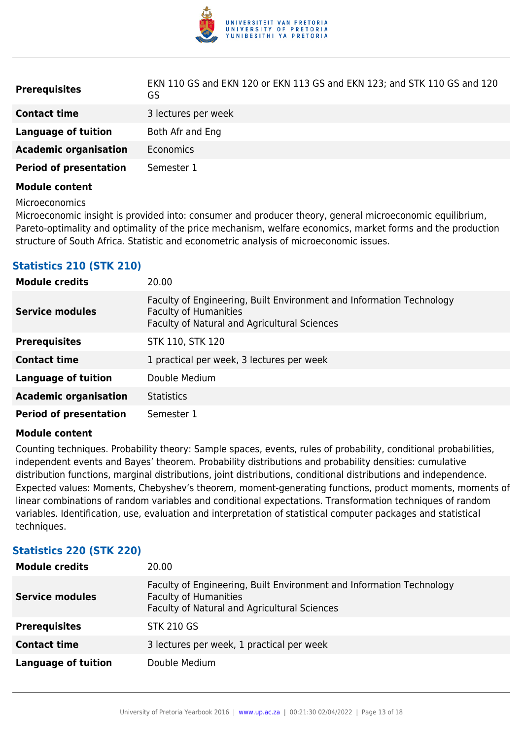

| <b>Prerequisites</b>          | EKN 110 GS and EKN 120 or EKN 113 GS and EKN 123; and STK 110 GS and 120<br>GS |
|-------------------------------|--------------------------------------------------------------------------------|
| <b>Contact time</b>           | 3 lectures per week                                                            |
| Language of tuition           | Both Afr and Eng                                                               |
| <b>Academic organisation</b>  | Economics                                                                      |
| <b>Period of presentation</b> | Semester 1                                                                     |

Microeconomics

Microeconomic insight is provided into: consumer and producer theory, general microeconomic equilibrium, Pareto-optimality and optimality of the price mechanism, welfare economics, market forms and the production structure of South Africa. Statistic and econometric analysis of microeconomic issues.

## **Statistics 210 (STK 210)**

| <b>Module credits</b>         | 20.00                                                                                                                                                |
|-------------------------------|------------------------------------------------------------------------------------------------------------------------------------------------------|
| <b>Service modules</b>        | Faculty of Engineering, Built Environment and Information Technology<br><b>Faculty of Humanities</b><br>Faculty of Natural and Agricultural Sciences |
| <b>Prerequisites</b>          | STK 110, STK 120                                                                                                                                     |
| <b>Contact time</b>           | 1 practical per week, 3 lectures per week                                                                                                            |
| <b>Language of tuition</b>    | Double Medium                                                                                                                                        |
| <b>Academic organisation</b>  | <b>Statistics</b>                                                                                                                                    |
| <b>Period of presentation</b> | Semester 1                                                                                                                                           |

### **Module content**

Counting techniques. Probability theory: Sample spaces, events, rules of probability, conditional probabilities, independent events and Bayes' theorem. Probability distributions and probability densities: cumulative distribution functions, marginal distributions, joint distributions, conditional distributions and independence. Expected values: Moments, Chebyshev's theorem, moment-generating functions, product moments, moments of linear combinations of random variables and conditional expectations. Transformation techniques of random variables. Identification, use, evaluation and interpretation of statistical computer packages and statistical techniques.

| STATISTICS EEV (STIK EEV)  |                                                                                                                                                      |
|----------------------------|------------------------------------------------------------------------------------------------------------------------------------------------------|
| <b>Module credits</b>      | 20.00                                                                                                                                                |
| <b>Service modules</b>     | Faculty of Engineering, Built Environment and Information Technology<br><b>Faculty of Humanities</b><br>Faculty of Natural and Agricultural Sciences |
| <b>Prerequisites</b>       | <b>STK 210 GS</b>                                                                                                                                    |
| <b>Contact time</b>        | 3 lectures per week, 1 practical per week                                                                                                            |
| <b>Language of tuition</b> | Double Medium                                                                                                                                        |

## **Statistics 220 (STK 220)**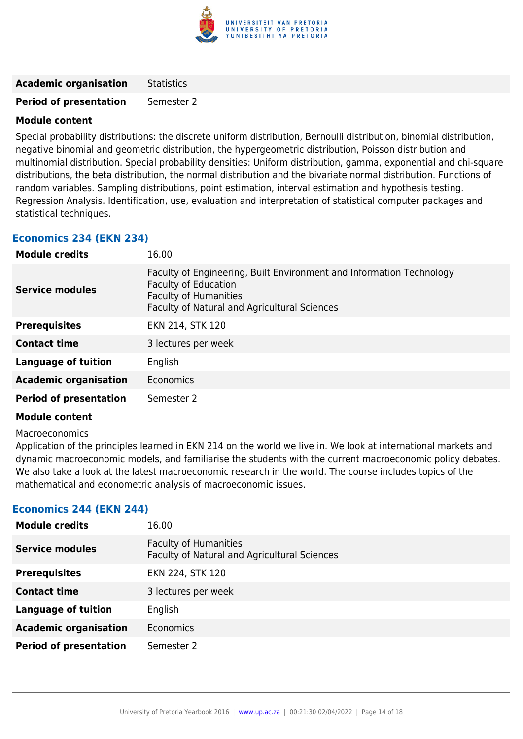

**Academic organisation** Statistics

**Period of presentation** Semester 2

### **Module content**

Special probability distributions: the discrete uniform distribution, Bernoulli distribution, binomial distribution, negative binomial and geometric distribution, the hypergeometric distribution, Poisson distribution and multinomial distribution. Special probability densities: Uniform distribution, gamma, exponential and chi-square distributions, the beta distribution, the normal distribution and the bivariate normal distribution. Functions of random variables. Sampling distributions, point estimation, interval estimation and hypothesis testing. Regression Analysis. Identification, use, evaluation and interpretation of statistical computer packages and statistical techniques.

# **Economics 234 (EKN 234)**

| <b>Module credits</b>         | 16.00                                                                                                                                                                               |
|-------------------------------|-------------------------------------------------------------------------------------------------------------------------------------------------------------------------------------|
| Service modules               | Faculty of Engineering, Built Environment and Information Technology<br><b>Faculty of Education</b><br><b>Faculty of Humanities</b><br>Faculty of Natural and Agricultural Sciences |
| <b>Prerequisites</b>          | EKN 214, STK 120                                                                                                                                                                    |
| <b>Contact time</b>           | 3 lectures per week                                                                                                                                                                 |
| <b>Language of tuition</b>    | English                                                                                                                                                                             |
| <b>Academic organisation</b>  | Economics                                                                                                                                                                           |
| <b>Period of presentation</b> | Semester 2                                                                                                                                                                          |

### **Module content**

### Macroeconomics

Application of the principles learned in EKN 214 on the world we live in. We look at international markets and dynamic macroeconomic models, and familiarise the students with the current macroeconomic policy debates. We also take a look at the latest macroeconomic research in the world. The course includes topics of the mathematical and econometric analysis of macroeconomic issues.

### **Economics 244 (EKN 244)**

| <b>Module credits</b>         | 16.00                                                                        |
|-------------------------------|------------------------------------------------------------------------------|
| <b>Service modules</b>        | <b>Faculty of Humanities</b><br>Faculty of Natural and Agricultural Sciences |
| <b>Prerequisites</b>          | EKN 224, STK 120                                                             |
| <b>Contact time</b>           | 3 lectures per week                                                          |
| <b>Language of tuition</b>    | English                                                                      |
| <b>Academic organisation</b>  | <b>Economics</b>                                                             |
| <b>Period of presentation</b> | Semester 2                                                                   |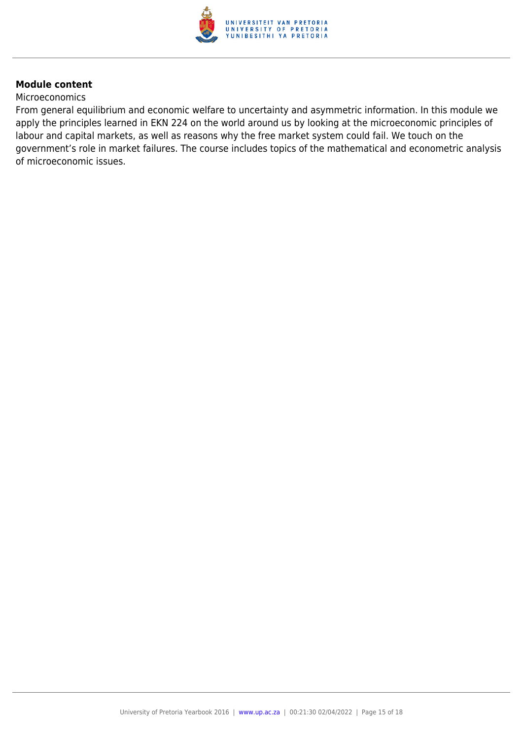

#### **Microeconomics**

From general equilibrium and economic welfare to uncertainty and asymmetric information. In this module we apply the principles learned in EKN 224 on the world around us by looking at the microeconomic principles of labour and capital markets, as well as reasons why the free market system could fail. We touch on the government's role in market failures. The course includes topics of the mathematical and econometric analysis of microeconomic issues.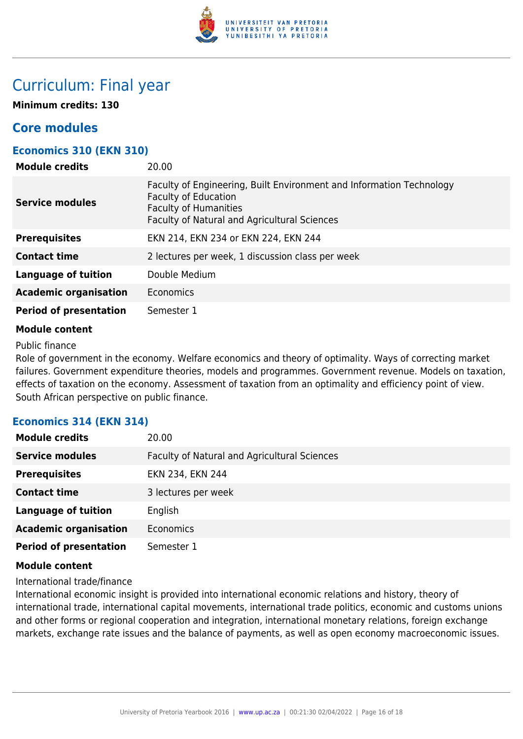

# Curriculum: Final year

**Minimum credits: 130**

# **Core modules**

### **Economics 310 (EKN 310)**

| <b>Module credits</b>         | 20.00                                                                                                                                                                               |
|-------------------------------|-------------------------------------------------------------------------------------------------------------------------------------------------------------------------------------|
| <b>Service modules</b>        | Faculty of Engineering, Built Environment and Information Technology<br><b>Faculty of Education</b><br><b>Faculty of Humanities</b><br>Faculty of Natural and Agricultural Sciences |
| <b>Prerequisites</b>          | EKN 214, EKN 234 or EKN 224, EKN 244                                                                                                                                                |
| <b>Contact time</b>           | 2 lectures per week, 1 discussion class per week                                                                                                                                    |
| <b>Language of tuition</b>    | Double Medium                                                                                                                                                                       |
| <b>Academic organisation</b>  | Economics                                                                                                                                                                           |
| <b>Period of presentation</b> | Semester 1                                                                                                                                                                          |
|                               |                                                                                                                                                                                     |

### **Module content**

Public finance

Role of government in the economy. Welfare economics and theory of optimality. Ways of correcting market failures. Government expenditure theories, models and programmes. Government revenue. Models on taxation, effects of taxation on the economy. Assessment of taxation from an optimality and efficiency point of view. South African perspective on public finance.

## **Economics 314 (EKN 314)**

| <b>Module credits</b>         | 20.00                                        |
|-------------------------------|----------------------------------------------|
| <b>Service modules</b>        | Faculty of Natural and Agricultural Sciences |
| <b>Prerequisites</b>          | EKN 234, EKN 244                             |
| <b>Contact time</b>           | 3 lectures per week                          |
| <b>Language of tuition</b>    | English                                      |
| <b>Academic organisation</b>  | <b>Economics</b>                             |
| <b>Period of presentation</b> | Semester 1                                   |

### **Module content**

International trade/finance

International economic insight is provided into international economic relations and history, theory of international trade, international capital movements, international trade politics, economic and customs unions and other forms or regional cooperation and integration, international monetary relations, foreign exchange markets, exchange rate issues and the balance of payments, as well as open economy macroeconomic issues.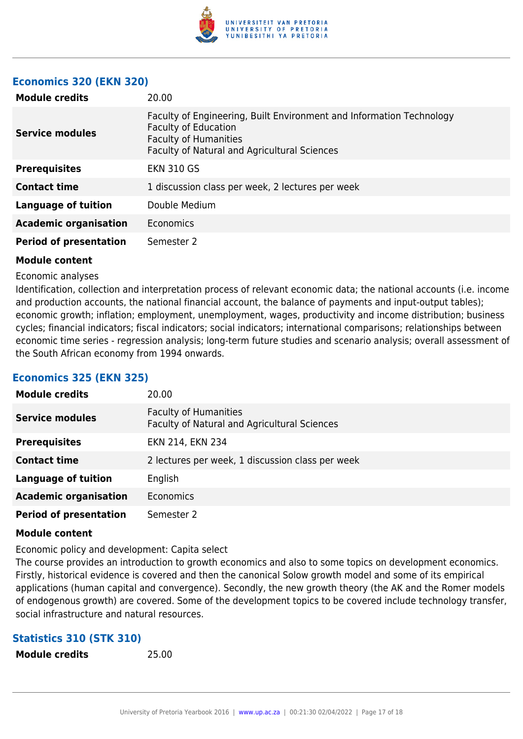

### **Economics 320 (EKN 320)**

| <b>Module credits</b>         | 20.00                                                                                                                                                                        |
|-------------------------------|------------------------------------------------------------------------------------------------------------------------------------------------------------------------------|
| <b>Service modules</b>        | Faculty of Engineering, Built Environment and Information Technology<br>Faculty of Education<br><b>Faculty of Humanities</b><br>Faculty of Natural and Agricultural Sciences |
| <b>Prerequisites</b>          | <b>EKN 310 GS</b>                                                                                                                                                            |
| <b>Contact time</b>           | 1 discussion class per week, 2 lectures per week                                                                                                                             |
| Language of tuition           | Double Medium                                                                                                                                                                |
| <b>Academic organisation</b>  | Economics                                                                                                                                                                    |
| <b>Period of presentation</b> | Semester 2                                                                                                                                                                   |

### **Module content**

### Economic analyses

Identification, collection and interpretation process of relevant economic data; the national accounts (i.e. income and production accounts, the national financial account, the balance of payments and input-output tables); economic growth; inflation; employment, unemployment, wages, productivity and income distribution; business cycles; financial indicators; fiscal indicators; social indicators; international comparisons; relationships between economic time series - regression analysis; long-term future studies and scenario analysis; overall assessment of the South African economy from 1994 onwards.

### **Economics 325 (EKN 325)**

| <b>Module credits</b>         | 20.00                                                                        |
|-------------------------------|------------------------------------------------------------------------------|
| <b>Service modules</b>        | <b>Faculty of Humanities</b><br>Faculty of Natural and Agricultural Sciences |
| <b>Prerequisites</b>          | EKN 214, EKN 234                                                             |
| <b>Contact time</b>           | 2 lectures per week, 1 discussion class per week                             |
| <b>Language of tuition</b>    | English                                                                      |
| <b>Academic organisation</b>  | <b>Economics</b>                                                             |
| <b>Period of presentation</b> | Semester 2                                                                   |

### **Module content**

Economic policy and development: Capita select

The course provides an introduction to growth economics and also to some topics on development economics. Firstly, historical evidence is covered and then the canonical Solow growth model and some of its empirical applications (human capital and convergence). Secondly, the new growth theory (the AK and the Romer models of endogenous growth) are covered. Some of the development topics to be covered include technology transfer, social infrastructure and natural resources.

### **Statistics 310 (STK 310)**

**Module credits** 25.00